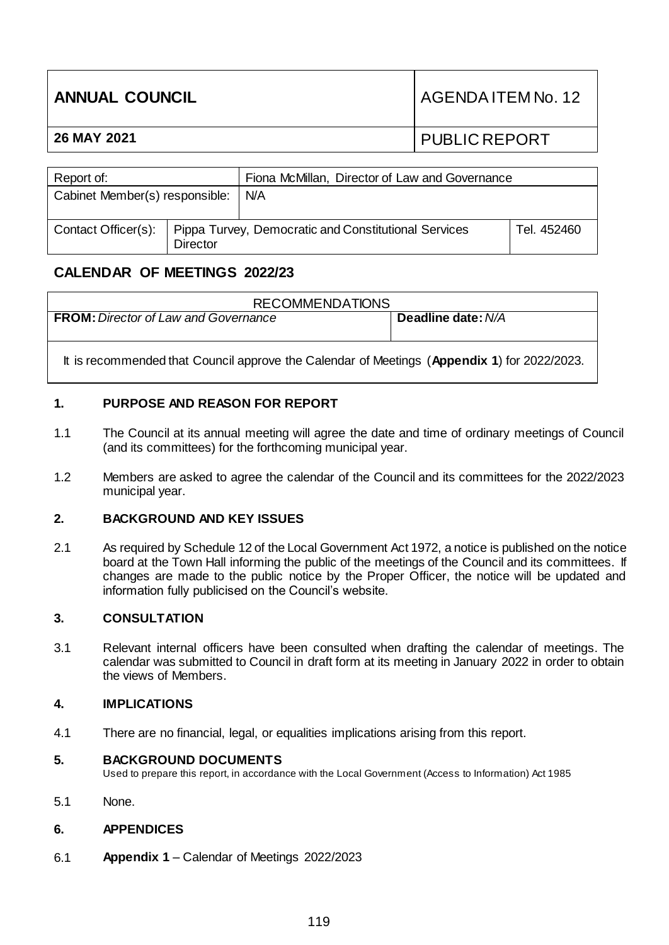| <b>ANNUAL COUNCIL</b> | AGENDA ITEM No. 12   |
|-----------------------|----------------------|
| 26 MAY 2021           | <b>PUBLIC REPORT</b> |
|                       |                      |

| Fiona McMillan, Director of Law and Governance<br>Report of: |                 |                                                      |             |
|--------------------------------------------------------------|-----------------|------------------------------------------------------|-------------|
| Cabinet Member(s) responsible:                               |                 | N/A                                                  |             |
| Contact Officer(s):                                          | <b>Director</b> | Pippa Turvey, Democratic and Constitutional Services | Tel. 452460 |

# **CALENDAR OF MEETINGS 2022/23**

| <b>RECOMMENDATIONS</b>                                                                      |                    |
|---------------------------------------------------------------------------------------------|--------------------|
| <b>FROM:</b> Director of Law and Governance                                                 | Deadline date: N/A |
| It is recommended that Council approve the Calendar of Meetings (Appendix 1) for 2022/2023. |                    |

## **1. PURPOSE AND REASON FOR REPORT**

- 1.1 The Council at its annual meeting will agree the date and time of ordinary meetings of Council (and its committees) for the forthcoming municipal year.
- 1.2 Members are asked to agree the calendar of the Council and its committees for the 2022/2023 municipal year.

### **2. BACKGROUND AND KEY ISSUES**

2.1 As required by Schedule 12 of the Local Government Act 1972, a notice is published on the notice board at the Town Hall informing the public of the meetings of the Council and its committees. If changes are made to the public notice by the Proper Officer, the notice will be updated and information fully publicised on the Council's website.

### **3. CONSULTATION**

3.1 Relevant internal officers have been consulted when drafting the calendar of meetings. The calendar was submitted to Council in draft form at its meeting in January 2022 in order to obtain the views of Members.

#### **4. IMPLICATIONS**

4.1 There are no financial, legal, or equalities implications arising from this report.

### **5. BACKGROUND DOCUMENTS**

Used to prepare this report, in accordance with the Local Government (Access to Information) Act 1985

5.1 None.

### **6. APPENDICES**

6.1 **Appendix 1** – Calendar of Meetings 2022/2023